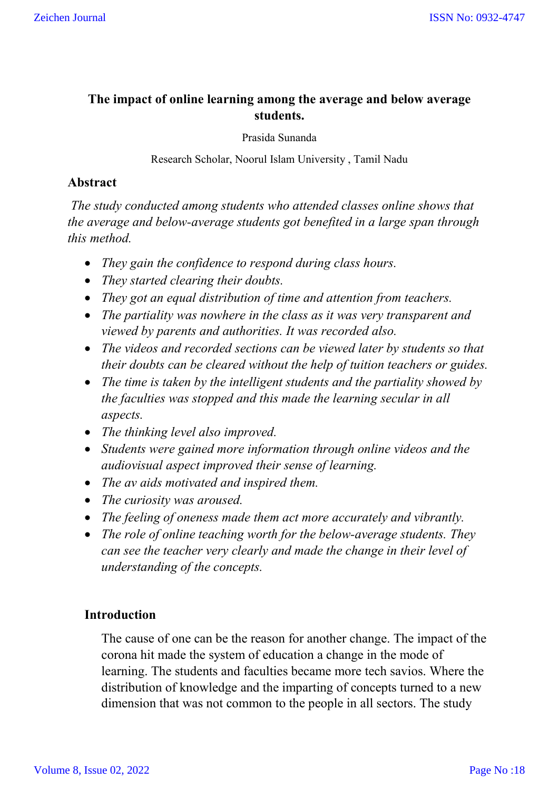## **The impact of online learning among the average and below average students.**

Prasida Sunanda

Research Scholar, Noorul Islam University , Tamil Nadu

## **Abstract**

*The study conducted among students who attended classes online shows that the average and below-average students got benefited in a large span through this method.* 

- *They gain the confidence to respond during class hours.*
- *They started clearing their doubts.*
- *They got an equal distribution of time and attention from teachers.*
- *The partiality was nowhere in the class as it was very transparent and viewed by parents and authorities. It was recorded also.*
- *The videos and recorded sections can be viewed later by students so that their doubts can be cleared without the help of tuition teachers or guides.*
- *The time is taken by the intelligent students and the partiality showed by the faculties was stopped and this made the learning secular in all aspects.*
- *The thinking level also improved.*
- *Students were gained more information through online videos and the audiovisual aspect improved their sense of learning.*
- *The av aids motivated and inspired them.*
- *The curiosity was aroused.*
- *The feeling of oneness made them act more accurately and vibrantly.*
- *The role of online teaching worth for the below-average students. They can see the teacher very clearly and made the change in their level of understanding of the concepts.*

# **Introduction**

The cause of one can be the reason for another change. The impact of the corona hit made the system of education a change in the mode of learning. The students and faculties became more tech savios. Where the distribution of knowledge and the imparting of concepts turned to a new dimension that was not common to the people in all sectors. The study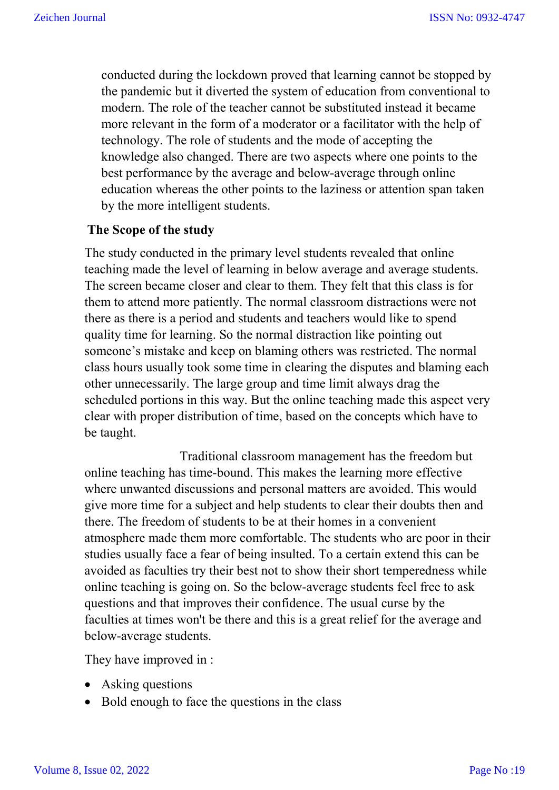conducted during the lockdown proved that learning cannot be stopped by the pandemic but it diverted the system of education from conventional to modern. The role of the teacher cannot be substituted instead it became more relevant in the form of a moderator or a facilitator with the help of technology. The role of students and the mode of accepting the knowledge also changed. There are two aspects where one points to the best performance by the average and below-average through online education whereas the other points to the laziness or attention span taken by the more intelligent students.

### **The Scope of the study**

The study conducted in the primary level students revealed that online teaching made the level of learning in below average and average students. The screen became closer and clear to them. They felt that this class is for them to attend more patiently. The normal classroom distractions were not there as there is a period and students and teachers would like to spend quality time for learning. So the normal distraction like pointing out someone's mistake and keep on blaming others was restricted. The normal class hours usually took some time in clearing the disputes and blaming each other unnecessarily. The large group and time limit always drag the scheduled portions in this way. But the online teaching made this aspect very clear with proper distribution of time, based on the concepts which have to be taught.

 Traditional classroom management has the freedom but online teaching has time-bound. This makes the learning more effective where unwanted discussions and personal matters are avoided. This would give more time for a subject and help students to clear their doubts then and there. The freedom of students to be at their homes in a convenient atmosphere made them more comfortable. The students who are poor in their studies usually face a fear of being insulted. To a certain extend this can be avoided as faculties try their best not to show their short temperedness while online teaching is going on. So the below-average students feel free to ask questions and that improves their confidence. The usual curse by the faculties at times won't be there and this is a great relief for the average and below-average students.

They have improved in :

- Asking questions
- Bold enough to face the questions in the class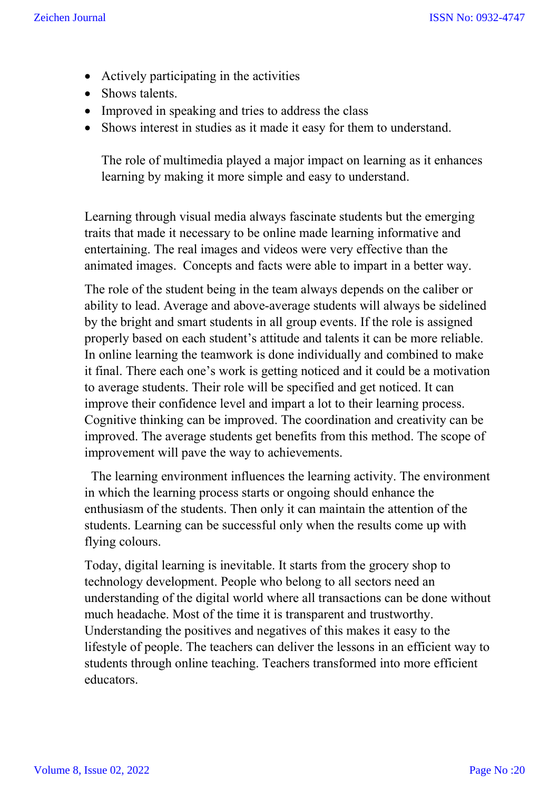- Actively participating in the activities
- Shows talents.
- Improved in speaking and tries to address the class
- Shows interest in studies as it made it easy for them to understand.

The role of multimedia played a major impact on learning as it enhances learning by making it more simple and easy to understand.

Learning through visual media always fascinate students but the emerging traits that made it necessary to be online made learning informative and entertaining. The real images and videos were very effective than the animated images. Concepts and facts were able to impart in a better way.

The role of the student being in the team always depends on the caliber or ability to lead. Average and above-average students will always be sidelined by the bright and smart students in all group events. If the role is assigned properly based on each student's attitude and talents it can be more reliable. In online learning the teamwork is done individually and combined to make it final. There each one's work is getting noticed and it could be a motivation to average students. Their role will be specified and get noticed. It can improve their confidence level and impart a lot to their learning process. Cognitive thinking can be improved. The coordination and creativity can be improved. The average students get benefits from this method. The scope of improvement will pave the way to achievements.

 The learning environment influences the learning activity. The environment in which the learning process starts or ongoing should enhance the enthusiasm of the students. Then only it can maintain the attention of the students. Learning can be successful only when the results come up with flying colours.

Today, digital learning is inevitable. It starts from the grocery shop to technology development. People who belong to all sectors need an understanding of the digital world where all transactions can be done without much headache. Most of the time it is transparent and trustworthy. Understanding the positives and negatives of this makes it easy to the lifestyle of people. The teachers can deliver the lessons in an efficient way to students through online teaching. Teachers transformed into more efficient educators.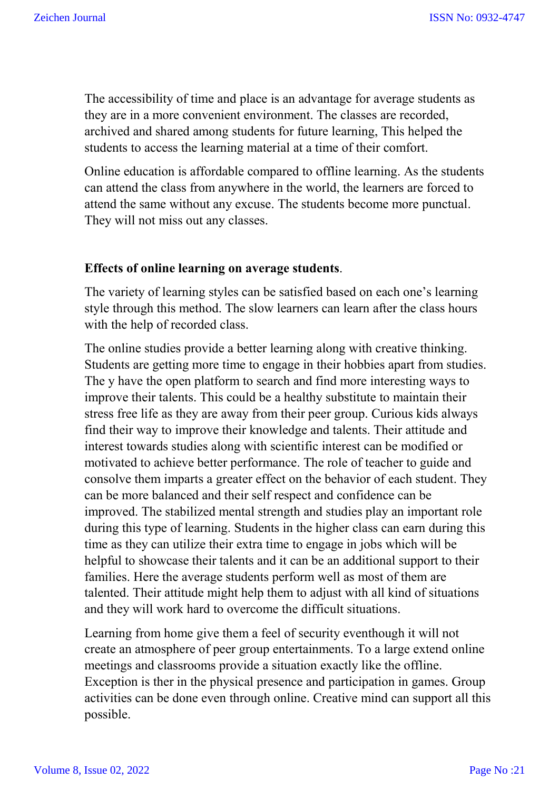The accessibility of time and place is an advantage for average students as they are in a more convenient environment. The classes are recorded, archived and shared among students for future learning, This helped the students to access the learning material at a time of their comfort.

Online education is affordable compared to offline learning. As the students can attend the class from anywhere in the world, the learners are forced to attend the same without any excuse. The students become more punctual. They will not miss out any classes.

### **Effects of online learning on average students**.

The variety of learning styles can be satisfied based on each one's learning style through this method. The slow learners can learn after the class hours with the help of recorded class.

The online studies provide a better learning along with creative thinking. Students are getting more time to engage in their hobbies apart from studies. The y have the open platform to search and find more interesting ways to improve their talents. This could be a healthy substitute to maintain their stress free life as they are away from their peer group. Curious kids always find their way to improve their knowledge and talents. Their attitude and interest towards studies along with scientific interest can be modified or motivated to achieve better performance. The role of teacher to guide and consolve them imparts a greater effect on the behavior of each student. They can be more balanced and their self respect and confidence can be improved. The stabilized mental strength and studies play an important role during this type of learning. Students in the higher class can earn during this time as they can utilize their extra time to engage in jobs which will be helpful to showcase their talents and it can be an additional support to their families. Here the average students perform well as most of them are talented. Their attitude might help them to adjust with all kind of situations and they will work hard to overcome the difficult situations.

Learning from home give them a feel of security eventhough it will not create an atmosphere of peer group entertainments. To a large extend online meetings and classrooms provide a situation exactly like the offline. Exception is ther in the physical presence and participation in games. Group activities can be done even through online. Creative mind can support all this possible.